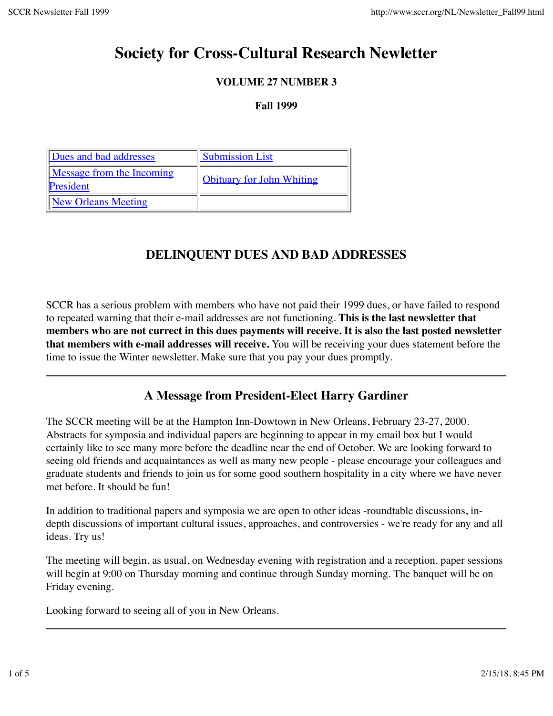# **Society for Cross-Cultural Research Newletter**

### **VOLUME 27 NUMBER 3**

### **Fall 1999**

| Dues and bad addresses                        | <b>Submission List</b>           |
|-----------------------------------------------|----------------------------------|
| <b>Message from the Incoming</b><br>President | <b>Obituary for John Whiting</b> |
| <b>New Orleans Meeting</b>                    |                                  |

## **DELINQUENT DUES AND BAD ADDRESSES**

SCCR has a serious problem with members who have not paid their 1999 dues, or have failed to respond to repeated warning that their e-mail addresses are not functioning. **This is the last newsletter that members who are not currect in this dues payments will receive. It is also the last posted newsletter that members with e-mail addresses will receive.** You will be receiving your dues statement before the time to issue the Winter newsletter. Make sure that you pay your dues promptly.

## **A Message from President-Elect Harry Gardiner**

The SCCR meeting will be at the Hampton Inn-Dowtown in New Orleans, February 23-27, 2000. Abstracts for symposia and individual papers are beginning to appear in my email box but I would certainly like to see many more before the deadline near the end of October. We are looking forward to seeing old friends and acquaintances as well as many new people - please encourage your colleagues and graduate students and friends to join us for some good southern hospitality in a city where we have never met before. It should be fun!

In addition to traditional papers and symposia we are open to other ideas -roundtable discussions, indepth discussions of important cultural issues, approaches, and controversies - we're ready for any and all ideas. Try us!

The meeting will begin, as usual, on Wednesday evening with registration and a reception. paper sessions will begin at 9:00 on Thursday morning and continue through Sunday morning. The banquet will be on Friday evening.

Looking forward to seeing all of you in New Orleans.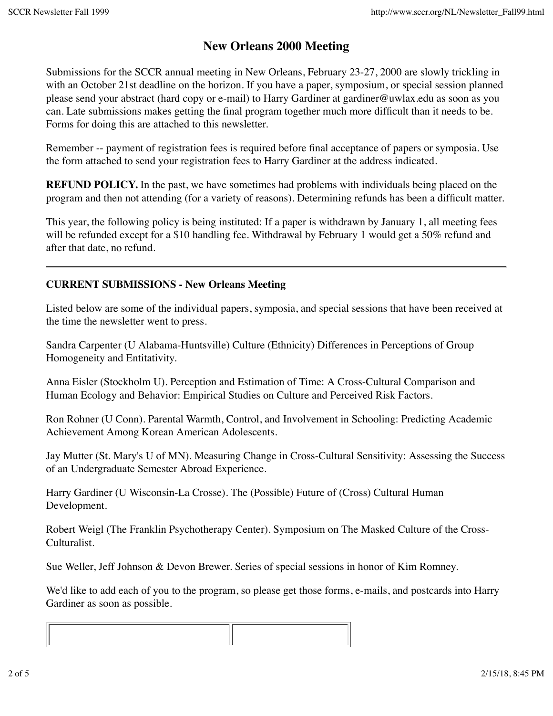## **New Orleans 2000 Meeting**

Submissions for the SCCR annual meeting in New Orleans, February 23-27, 2000 are slowly trickling in with an October 21st deadline on the horizon. If you have a paper, symposium, or special session planned please send your abstract (hard copy or e-mail) to Harry Gardiner at gardiner@uwlax.edu as soon as you can. Late submissions makes getting the final program together much more difficult than it needs to be. Forms for doing this are attached to this newsletter.

Remember -- payment of registration fees is required before final acceptance of papers or symposia. Use the form attached to send your registration fees to Harry Gardiner at the address indicated.

**REFUND POLICY.** In the past, we have sometimes had problems with individuals being placed on the program and then not attending (for a variety of reasons). Determining refunds has been a difficult matter.

This year, the following policy is being instituted: If a paper is withdrawn by January 1, all meeting fees will be refunded except for a \$10 handling fee. Withdrawal by February 1 would get a 50% refund and after that date, no refund.

### **CURRENT SUBMISSIONS - New Orleans Meeting**

Listed below are some of the individual papers, symposia, and special sessions that have been received at the time the newsletter went to press.

Sandra Carpenter (U Alabama-Huntsville) Culture (Ethnicity) Differences in Perceptions of Group Homogeneity and Entitativity.

Anna Eisler (Stockholm U). Perception and Estimation of Time: A Cross-Cultural Comparison and Human Ecology and Behavior: Empirical Studies on Culture and Perceived Risk Factors.

Ron Rohner (U Conn). Parental Warmth, Control, and Involvement in Schooling: Predicting Academic Achievement Among Korean American Adolescents.

Jay Mutter (St. Mary's U of MN). Measuring Change in Cross-Cultural Sensitivity: Assessing the Success of an Undergraduate Semester Abroad Experience.

Harry Gardiner (U Wisconsin-La Crosse). The (Possible) Future of (Cross) Cultural Human Development.

Robert Weigl (The Franklin Psychotherapy Center). Symposium on The Masked Culture of the Cross-Culturalist.

Sue Weller, Jeff Johnson & Devon Brewer. Series of special sessions in honor of Kim Romney.

We'd like to add each of you to the program, so please get those forms, e-mails, and postcards into Harry Gardiner as soon as possible.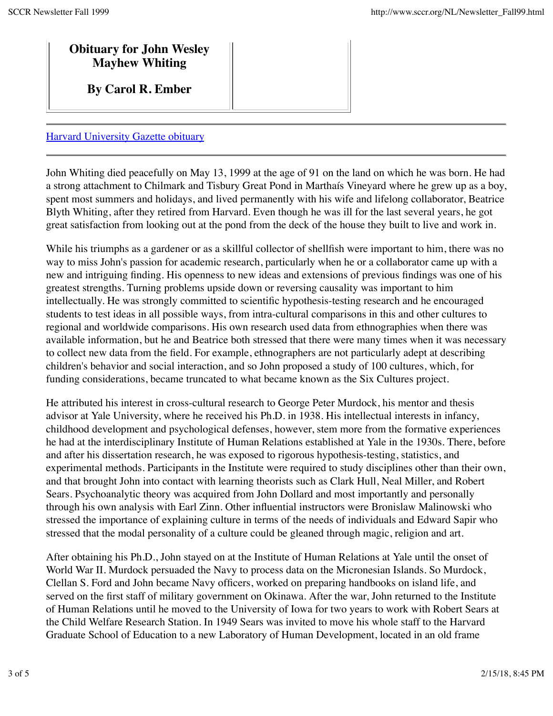## **Obituary for John Wesley Mayhew Whiting**

**By Carol R. Ember**

### Harvard University Gazette obituary

John Whiting died peacefully on May 13, 1999 at the age of 91 on the land on which he was born. He had a strong attachment to Chilmark and Tisbury Great Pond in Marthaís Vineyard where he grew up as a boy, spent most summers and holidays, and lived permanently with his wife and lifelong collaborator, Beatrice Blyth Whiting, after they retired from Harvard. Even though he was ill for the last several years, he got great satisfaction from looking out at the pond from the deck of the house they built to live and work in.

While his triumphs as a gardener or as a skillful collector of shellfish were important to him, there was no way to miss John's passion for academic research, particularly when he or a collaborator came up with a new and intriguing finding. His openness to new ideas and extensions of previous findings was one of his greatest strengths. Turning problems upside down or reversing causality was important to him intellectually. He was strongly committed to scientific hypothesis-testing research and he encouraged students to test ideas in all possible ways, from intra-cultural comparisons in this and other cultures to regional and worldwide comparisons. His own research used data from ethnographies when there was available information, but he and Beatrice both stressed that there were many times when it was necessary to collect new data from the field. For example, ethnographers are not particularly adept at describing children's behavior and social interaction, and so John proposed a study of 100 cultures, which, for funding considerations, became truncated to what became known as the Six Cultures project.

He attributed his interest in cross-cultural research to George Peter Murdock, his mentor and thesis advisor at Yale University, where he received his Ph.D. in 1938. His intellectual interests in infancy, childhood development and psychological defenses, however, stem more from the formative experiences he had at the interdisciplinary Institute of Human Relations established at Yale in the 1930s. There, before and after his dissertation research, he was exposed to rigorous hypothesis-testing, statistics, and experimental methods. Participants in the Institute were required to study disciplines other than their own, and that brought John into contact with learning theorists such as Clark Hull, Neal Miller, and Robert Sears. Psychoanalytic theory was acquired from John Dollard and most importantly and personally through his own analysis with Earl Zinn. Other influential instructors were Bronislaw Malinowski who stressed the importance of explaining culture in terms of the needs of individuals and Edward Sapir who stressed that the modal personality of a culture could be gleaned through magic, religion and art.

After obtaining his Ph.D., John stayed on at the Institute of Human Relations at Yale until the onset of World War II. Murdock persuaded the Navy to process data on the Micronesian Islands. So Murdock, Clellan S. Ford and John became Navy officers, worked on preparing handbooks on island life, and served on the first staff of military government on Okinawa. After the war, John returned to the Institute of Human Relations until he moved to the University of Iowa for two years to work with Robert Sears at the Child Welfare Research Station. In 1949 Sears was invited to move his whole staff to the Harvard Graduate School of Education to a new Laboratory of Human Development, located in an old frame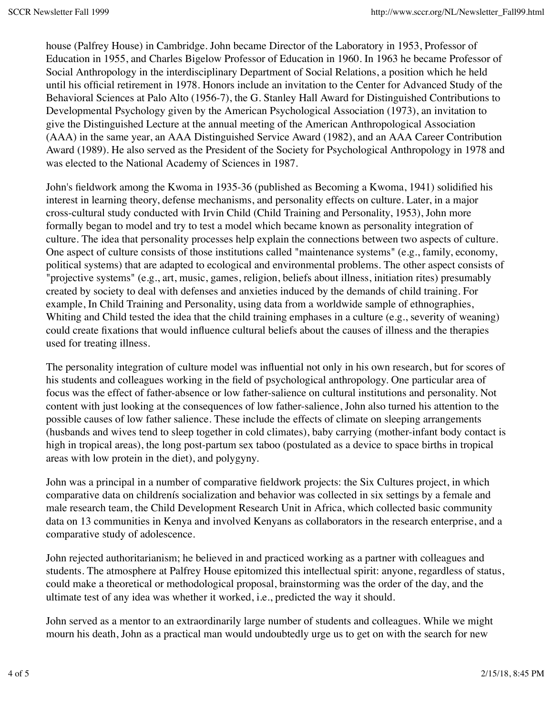house (Palfrey House) in Cambridge. John became Director of the Laboratory in 1953, Professor of Education in 1955, and Charles Bigelow Professor of Education in 1960. In 1963 he became Professor of Social Anthropology in the interdisciplinary Department of Social Relations, a position which he held until his official retirement in 1978. Honors include an invitation to the Center for Advanced Study of the Behavioral Sciences at Palo Alto (1956-7), the G. Stanley Hall Award for Distinguished Contributions to Developmental Psychology given by the American Psychological Association (1973), an invitation to give the Distinguished Lecture at the annual meeting of the American Anthropological Association (AAA) in the same year, an AAA Distinguished Service Award (1982), and an AAA Career Contribution Award (1989). He also served as the President of the Society for Psychological Anthropology in 1978 and was elected to the National Academy of Sciences in 1987.

John's fieldwork among the Kwoma in 1935-36 (published as Becoming a Kwoma, 1941) solidified his interest in learning theory, defense mechanisms, and personality effects on culture. Later, in a major cross-cultural study conducted with Irvin Child (Child Training and Personality, 1953), John more formally began to model and try to test a model which became known as personality integration of culture. The idea that personality processes help explain the connections between two aspects of culture. One aspect of culture consists of those institutions called "maintenance systems" (e.g., family, economy, political systems) that are adapted to ecological and environmental problems. The other aspect consists of "projective systems" (e.g., art, music, games, religion, beliefs about illness, initiation rites) presumably created by society to deal with defenses and anxieties induced by the demands of child training. For example, In Child Training and Personality, using data from a worldwide sample of ethnographies, Whiting and Child tested the idea that the child training emphases in a culture (e.g., severity of weaning) could create fixations that would influence cultural beliefs about the causes of illness and the therapies used for treating illness.

The personality integration of culture model was influential not only in his own research, but for scores of his students and colleagues working in the field of psychological anthropology. One particular area of focus was the effect of father-absence or low father-salience on cultural institutions and personality. Not content with just looking at the consequences of low father-salience, John also turned his attention to the possible causes of low father salience. These include the effects of climate on sleeping arrangements (husbands and wives tend to sleep together in cold climates), baby carrying (mother-infant body contact is high in tropical areas), the long post-partum sex taboo (postulated as a device to space births in tropical areas with low protein in the diet), and polygyny.

John was a principal in a number of comparative fieldwork projects: the Six Cultures project, in which comparative data on childrenís socialization and behavior was collected in six settings by a female and male research team, the Child Development Research Unit in Africa, which collected basic community data on 13 communities in Kenya and involved Kenyans as collaborators in the research enterprise, and a comparative study of adolescence.

John rejected authoritarianism; he believed in and practiced working as a partner with colleagues and students. The atmosphere at Palfrey House epitomized this intellectual spirit: anyone, regardless of status, could make a theoretical or methodological proposal, brainstorming was the order of the day, and the ultimate test of any idea was whether it worked, i.e., predicted the way it should.

John served as a mentor to an extraordinarily large number of students and colleagues. While we might mourn his death, John as a practical man would undoubtedly urge us to get on with the search for new